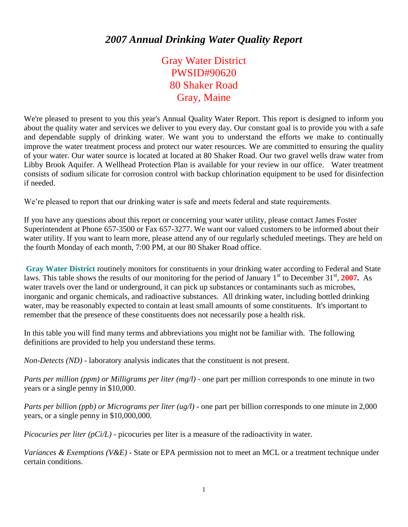## *2007 Annual Drinking Water Quality Report*

Gray Water District PWSID#90620 80 Shaker Road Gray, Maine

We're pleased to present to you this year's Annual Quality Water Report. This report is designed to inform you about the quality water and services we deliver to you every day. Our constant goal is to provide you with a safe and dependable supply of drinking water. We want you to understand the efforts we make to continually improve the water treatment process and protect our water resources. We are committed to ensuring the quality of your water. Our water source is located at located at 80 Shaker Road. Our two gravel wells draw water from Libby Brook Aquifer. A Wellhead Protection Plan is available for your review in our office. Water treatment consists of sodium silicate for corrosion control with backup chlorination equipment to be used for disinfection if needed.

We're pleased to report that our drinking water is safe and meets federal and state requirements.

If you have any questions about this report or concerning your water utility, please contact James Foster Superintendent at Phone 657-3500 or Fax 657-3277. We want our valued customers to be informed about their water utility. If you want to learn more, please attend any of our regularly scheduled meetings. They are held on the fourth Monday of each month, 7:00 PM, at our 80 Shaker Road office.

**Gray Water District** routinely monitors for constituents in your drinking water according to Federal and State laws. This table shows the results of our monitoring for the period of January 1<sup>st</sup> to December 31<sup>st</sup>, 2007. As water travels over the land or underground, it can pick up substances or contaminants such as microbes, inorganic and organic chemicals, and radioactive substances. All drinking water, including bottled drinking water, may be reasonably expected to contain at least small amounts of some constituents. It's important to remember that the presence of these constituents does not necessarily pose a health risk.

In this table you will find many terms and abbreviations you might not be familiar with. The following definitions are provided to help you understand these terms.

*Non-Detects (ND)* - laboratory analysis indicates that the constituent is not present.

*Parts per million (ppm) or Milligrams per liter (mg/l)* - one part per million corresponds to one minute in two years or a single penny in \$10,000.

*Parts per billion (ppb) or Micrograms per liter (ug/l)* - one part per billion corresponds to one minute in 2,000 years, or a single penny in \$10,000,000.

*Picocuries per liter (pCi/L)* - picocuries per liter is a measure of the radioactivity in water.

*Variances & Exemptions (V&E)* - State or EPA permission not to meet an MCL or a treatment technique under certain conditions.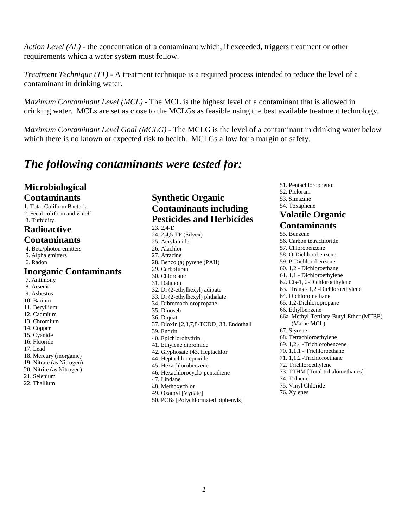*Action Level (AL)* - the concentration of a contaminant which, if exceeded, triggers treatment or other requirements which a water system must follow.

*Treatment Technique (TT)* - A treatment technique is a required process intended to reduce the level of a contaminant in drinking water.

*Maximum Contaminant Level (MCL)* - The MCL is the highest level of a contaminant that is allowed in drinking water. MCLs are set as close to the MCLGs as feasible using the best available treatment technology.

*Maximum Contaminant Level Goal (MCLG)* - The MCLG is the level of a contaminant in drinking water below which there is no known or expected risk to health. MCLGs allow for a margin of safety.

## *The following contaminants were tested for:*

### **Microbiological Contaminants**

1. Total Coliform Bacteria 2. Fecal coliform and *E.coli*

#### 3. Turbidity

#### **Radioactive Contaminants**

4. Beta/photon emitters 5. Alpha emitters 6. Radon **Inorganic Contaminants**

7. Antimony

8. Arsenic

- 9. Asbestos
- 10. Barium
- 11. Beryllium
- 12. Cadmium
- 13. Chromium
- 14. Copper
- 15. Cyanide 16. Fluoride
- 
- 17. Lead
- 18. Mercury (inorganic)
- 19. Nitrate (as Nitrogen)
- 20. Nitrite (as Nitrogen)
- 21. Selenium
- 22. Thallium

## **Synthetic Organic Contaminants including Pesticides and Herbicides**

23. 2,4-D 24. 2,4,5-TP (Silvex) 25. Acrylamide 26. Alachlor 27. Atrazine 28. Benzo (a) pyrene (PAH) 29. Carbofuran 30. Chlordane 31. Dalapon 32. Di (2-ethylhexyl) adipate 33. Di (2-ethylhexyl) phthalate 34. Dibromochloropropane 35. Dinoseb 36. Diquat 37. Dioxin [2,3,7,8-TCDD] 38. Endothall 39. Endrin 40. Epichlorohydrin 41. Ethylene dibromide 42. Glyphosate (43. Heptachlor 44. Heptachlor epoxide 45. Hexachlorobenzene 46. Hexachlorocyclo-pentadiene 47. Lindane 48. Methoxychlor 49. Oxamyl [Vydate] 50. PCBs [Polychlorinated biphenyls]

51. Pentachlorophenol 52. Picloram 53. Simazine 54. Toxaphene **Volatile Organic Contaminants** 55. Benzene

56. Carbon tetrachloride 57. Chlorobenzene 58. O-Dichlorobenzene 59. P-Dichlorobenzene 60. 1,2 - Dichloroethane 61. 1,1 - Dichloroethylene 62. Cis-1, 2-Dichloroethylene 63. Trans - 1,2 -Dichloroethylene 64. Dichloromethane 65. 1,2-Dichloropropane 66. Ethylbenzene 66a. Methyl-Tertiary-Butyl-Ether (MTBE) (Maine MCL) 67. Styrene 68. Tetrachloroethylene 69. 1,2,4 -Trichlorobenzene 70. 1,1,1 - Trichloroethane 71. 1,1,2 -Trichloroethane 72. Trichloroethylene 73. TTHM [Total trihalomethanes] 74. Toluene 75. Vinyl Chloride 76. Xylenes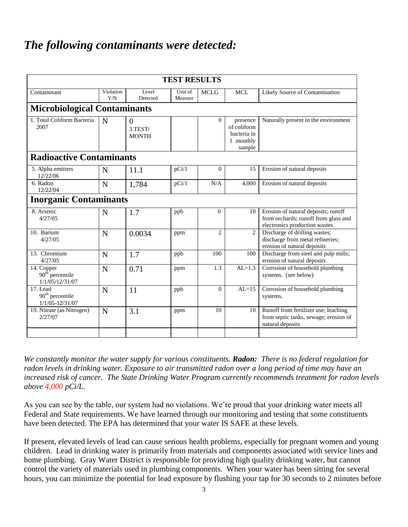# *The following contaminants were detected:*

| <b>TEST RESULTS</b>                                            |                  |                                     |                    |                |                                                               |                                                                                                              |
|----------------------------------------------------------------|------------------|-------------------------------------|--------------------|----------------|---------------------------------------------------------------|--------------------------------------------------------------------------------------------------------------|
| Contaminant                                                    | Violation<br>Y/N | Level<br>Detected                   | Unit of<br>Measure | <b>MCLG</b>    | <b>MCL</b>                                                    | Likely Source of Contamination                                                                               |
| <b>Microbiological Contaminants</b>                            |                  |                                     |                    |                |                                                               |                                                                                                              |
| 1. Total Coliform Bacteria<br>2007                             | N                | $\theta$<br>3 TEST/<br><b>MONTH</b> |                    | $\Omega$       | presence<br>of coliform<br>bacteria in<br>1 monthly<br>sample | Naturally present in the environment                                                                         |
| <b>Radioactive Contaminants</b>                                |                  |                                     |                    |                |                                                               |                                                                                                              |
| 5. Alpha emitters<br>12/22/06                                  | N                | 11.1                                | pCi/1              | $\theta$       | 15                                                            | Erosion of natural deposits                                                                                  |
| 6. Radon<br>12/22/04                                           | N                | 1,784                               | pCi/1              | N/A            | 4,000                                                         | Erosion of natural deposits                                                                                  |
| <b>Inorganic Contaminants</b>                                  |                  |                                     |                    |                |                                                               |                                                                                                              |
| 8. Arsenic<br>4/27/05                                          | N                | 1.7                                 | ppb                | $\theta$       | 10                                                            | Erosion of natural deposits; runoff<br>from orchards; runoff from glass and<br>electronics production wastes |
| 10. Barium<br>4/27/05                                          | N                | 0.0034                              | ppm                | $\overline{c}$ | $\overline{2}$                                                | Discharge of drilling wastes;<br>discharge from metal refineries;<br>erosion of natural deposits             |
| 13. Chromium<br>4/27/05                                        | N                | 1.7                                 | ppb                | 100            | 100                                                           | Discharge from steel and pulp mills;<br>erosion of natural deposits                                          |
| 14. Copper<br>$90th$ percentile<br>1/1/05/12/31/07             | N                | 0.71                                | ppm                | 1.3            | $AL=1.3$                                                      | Corrosion of household plumbing<br>systems. (see below)                                                      |
| 17. Lead<br>90 <sup>th</sup> percentile<br>$1/1/05 - 12/31/07$ | N                | 11                                  | ppb                | $\theta$       | $AL=15$                                                       | Corrosion of household plumbing<br>systems.                                                                  |
| 19. Nitrate (as Nitrogen)<br>2/27/07                           | N                | 3.1                                 | ppm                | 10             | 10                                                            | Runoff from fertilizer use; leaching<br>from septic tanks, sewage; erosion of<br>natural deposits            |
|                                                                |                  |                                     |                    |                |                                                               |                                                                                                              |

*We constantly monitor the water supply for various constituents. Radon: There is no federal regulation for radon levels in drinking water. Exposure to air transmitted radon over a long period of time may have an increased risk of cancer. The State Drinking Water Program currently recommends treatment for radon levels above 4,000 pCi/L.*

As you can see by the table, our system had no violations. We're proud that your drinking water meets all Federal and State requirements. We have learned through our monitoring and testing that some constituents have been detected. The EPA has determined that your water IS SAFE at these levels.

If present, elevated levels of lead can cause serious health problems, especially for pregnant women and young children. Lead in drinking water is primarily from materials and components associated with service lines and home plumbing. Gray Water District is responsible for providing high quality drinking water, but cannot control the variety of materials used in plumbing components. When your water has been sitting for several hours, you can minimize the potential for lead exposure by flushing your tap for 30 seconds to 2 minutes before